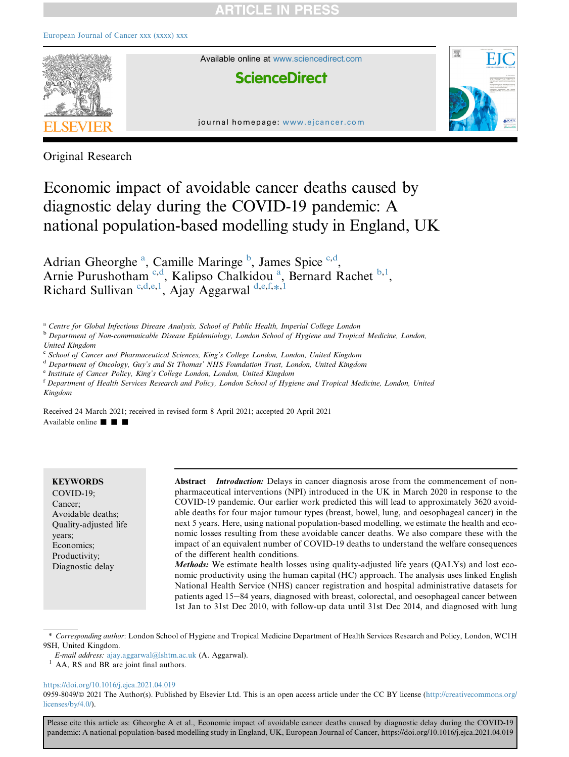# **RTICLE IN PRES**



Original Research

# Economic impact of avoidable cancer deaths caused by diagnostic delay during the COVID-19 pandemic: A national population-based modelling study in England, UK

Adri[a](#page-0-0)n Gheorghe<sup>a</sup>, Camille Maringe<sup>[b](#page-0-1)</sup>, James Spi[c](#page-0-2)e<sup>c[,d](#page-0-3)</sup>, Arnie Purushotham<sup>[c](#page-0-2)[,d](#page-0-3)</sup>, K[a](#page-0-0)lipso Chalkidou<sup>a</sup>, Bernard Rachet<sup>[b](#page-0-1)[,1](#page-0-4)</sup>, Ri[c](#page-0-2)har[d](#page-0-3) Sullivan<sup>c,d,[e](#page-0-5),[1](#page-0-4)</sup>, Ajay Aggarwal<sup>[d,](#page-0-3)e[,f,](#page-0-6)[\\*](#page-0-7)[,1](#page-0-4)</sup>

<span id="page-0-0"></span><sup>a</sup> Centre for Global Infectious Disease Analysis, School of Public Health, Imperial College London

<span id="page-0-1"></span><sup>b</sup> Department of Non-communicable Disease Epidemiology, London School of Hygiene and Tropical Medicine, London, United Kingdom

<span id="page-0-2"></span><sup>c</sup> School of Cancer and Pharmaceutical Sciences, King's College London, London, United Kingdom

<span id="page-0-3"></span><sup>d</sup> Department of Oncology, Guy's and St Thomas' NHS Foundation Trust, London, United Kingdom

<span id="page-0-5"></span><sup>e</sup> Institute of Cancer Policy, King's College London, London, United Kingdom

<span id="page-0-6"></span><sup>f</sup> Department of Health Services Research and Policy, London School of Hygiene and Tropical Medicine, London, United Kingdom

Received 24 March 2021; received in revised form 8 April 2021; accepted 20 April 2021 Available online  $\blacksquare$   $\blacksquare$ 

#### **KEYWORDS**

COVID-19; Cancer; Avoidable deaths; Quality-adjusted life years; Economics; Productivity; Diagnostic delay

Abstract *Introduction:* Delays in cancer diagnosis arose from the commencement of nonpharmaceutical interventions (NPI) introduced in the UK in March 2020 in response to the COVID-19 pandemic. Our earlier work predicted this will lead to approximately 3620 avoidable deaths for four major tumour types (breast, bowel, lung, and oesophageal cancer) in the next 5 years. Here, using national population-based modelling, we estimate the health and economic losses resulting from these avoidable cancer deaths. We also compare these with the impact of an equivalent number of COVID-19 deaths to understand the welfare consequences of the different health conditions.

Methods: We estimate health losses using quality-adjusted life years (QALYs) and lost economic productivity using the human capital (HC) approach. The analysis uses linked English National Health Service (NHS) cancer registration and hospital administrative datasets for patients aged 15-84 years, diagnosed with breast, colorectal, and oesophageal cancer between 1st Jan to 31st Dec 2010, with follow-up data until 31st Dec 2014, and diagnosed with lung

<span id="page-0-7"></span>\* Corresponding author: London School of Hygiene and Tropical Medicine Department of Health Services Research and Policy, London, WC1H 9SH, United Kingdom.

<span id="page-0-4"></span><sup>1</sup> AA, RS and BR are joint final authors.

#### <https://doi.org/10.1016/j.ejca.2021.04.019>

0959-8049/ $\circ$  2021 The Author(s). Published by Elsevier Ltd. This is an open access article under the CC BY license ([http://creativecommons.org/](http://creativecommons.org/licenses/by/4.0/) [licenses/by/4.0/\)](http://creativecommons.org/licenses/by/4.0/).

E-mail address: [ajay.aggarwal@lshtm.ac.uk](mailto:ajay.aggarwal@lshtm.ac.uk) (A. Aggarwal).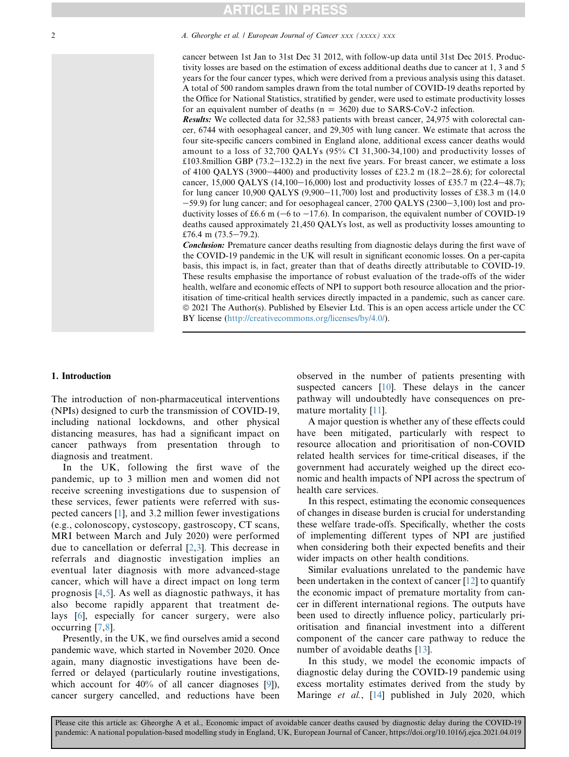## **RTICLE IN PRESS**

#### 2 2 A. Gheorghe et al. / European Journal of Cancer xxx (xxxx) xxx

cancer between 1st Jan to 31st Dec 31 2012, with follow-up data until 31st Dec 2015. Productivity losses are based on the estimation of excess additional deaths due to cancer at 1, 3 and 5 years for the four cancer types, which were derived from a previous analysis using this dataset. A total of 500 random samples drawn from the total number of COVID-19 deaths reported by the Office for National Statistics, stratified by gender, were used to estimate productivity losses for an equivalent number of deaths ( $n = 3620$ ) due to SARS-CoV-2 infection.

Results: We collected data for 32,583 patients with breast cancer, 24,975 with colorectal cancer, 6744 with oesophageal cancer, and 29,305 with lung cancer. We estimate that across the four site-specific cancers combined in England alone, additional excess cancer deaths would amount to a loss of 32,700 QALYs (95% CI 31,300-34,100) and productivity losses of  $£103.8$ million GBP (73.2–132.2) in the next five years. For breast cancer, we estimate a loss of 4100 QALYS (3900–4400) and productivity losses of £23.2 m (18.2–28.6); for colorectal cancer, 15,000 QALYS (14,100-16,000) lost and productivity losses of £35.7 m (22.4-48.7); for lung cancer 10,900 QALYS (9,900-11,700) lost and productivity losses of £38.3 m (14.0)  $-59.9$ ) for lung cancer; and for oesophageal cancer, 2700 QALYS (2300 $-3,100$ ) lost and productivity losses of £6.6 m ( $-6$  to  $-17.6$ ). In comparison, the equivalent number of COVID-19 deaths caused approximately 21,450 QALYs lost, as well as productivity losses amounting to £76.4 m  $(73.5-79.2)$ .

**Conclusion:** Premature cancer deaths resulting from diagnostic delays during the first wave of the COVID-19 pandemic in the UK will result in significant economic losses. On a per-capita basis, this impact is, in fact, greater than that of deaths directly attributable to COVID-19. These results emphasise the importance of robust evaluation of the trade-offs of the wider health, welfare and economic effects of NPI to support both resource allocation and the prioritisation of time-critical health services directly impacted in a pandemic, such as cancer care. ª 2021 The Author(s). Published by Elsevier Ltd. This is an open access article under the CC BY license [\(http://creativecommons.org/licenses/by/4.0/\)](http://creativecommons.org/licenses/by/4.0/).

#### 1. Introduction

The introduction of non-pharmaceutical interventions (NPIs) designed to curb the transmission of COVID-19, including national lockdowns, and other physical distancing measures, has had a significant impact on cancer pathways from presentation through to diagnosis and treatment.

In the UK, following the first wave of the pandemic, up to 3 million men and women did not receive screening investigations due to suspension of these services, fewer patients were referred with suspected cancers [[1](#page-8-0)], and 3.2 million fewer investigations (e.g., colonoscopy, cystoscopy, gastroscopy, CT scans, MRI between March and July 2020) were performed due to cancellation or deferral [[2,](#page-8-1)[3\]](#page-8-2). This decrease in referrals and diagnostic investigation implies an eventual later diagnosis with more advanced-stage cancer, which will have a direct impact on long term prognosis [[4](#page-8-3)[,5\]](#page-8-4). As well as diagnostic pathways, it has also become rapidly apparent that treatment delays [[6](#page-8-5)], especially for cancer surgery, were also occurring [[7](#page-8-6),[8](#page-8-7)].

Presently, in the UK, we find ourselves amid a second pandemic wave, which started in November 2020. Once again, many diagnostic investigations have been deferred or delayed (particularly routine investigations, which account for 40% of all cancer diagnoses [\[9](#page-8-8)]), cancer surgery cancelled, and reductions have been

observed in the number of patients presenting with suspected cancers [\[10](#page-8-9)]. These delays in the cancer pathway will undoubtedly have consequences on premature mortality [\[11](#page-8-10)].

A major question is whether any of these effects could have been mitigated, particularly with respect to resource allocation and prioritisation of non-COVID related health services for time-critical diseases, if the government had accurately weighed up the direct economic and health impacts of NPI across the spectrum of health care services.

In this respect, estimating the economic consequences of changes in disease burden is crucial for understanding these welfare trade-offs. Specifically, whether the costs of implementing different types of NPI are justified when considering both their expected benefits and their wider impacts on other health conditions.

Similar evaluations unrelated to the pandemic have been undertaken in the context of cancer [[12\]](#page-8-11) to quantify the economic impact of premature mortality from cancer in different international regions. The outputs have been used to directly influence policy, particularly prioritisation and financial investment into a different component of the cancer care pathway to reduce the number of avoidable deaths [\[13](#page-8-12)].

In this study, we model the economic impacts of diagnostic delay during the COVID-19 pandemic using excess mortality estimates derived from the study by Maringe et al., [\[14\]](#page-8-13) published in July 2020, which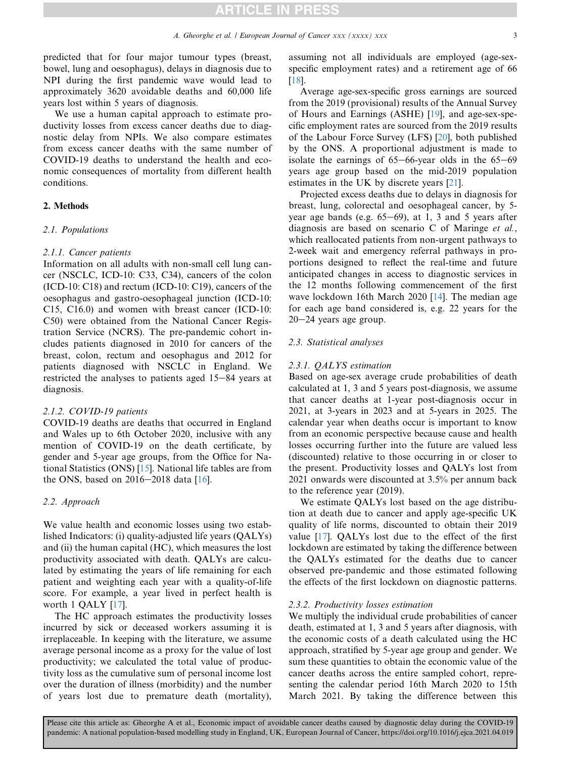predicted that for four major tumour types (breast, bowel, lung and oesophagus), delays in diagnosis due to NPI during the first pandemic wave would lead to approximately 3620 avoidable deaths and 60,000 life years lost within 5 years of diagnosis.

We use a human capital approach to estimate productivity losses from excess cancer deaths due to diagnostic delay from NPIs. We also compare estimates from excess cancer deaths with the same number of COVID-19 deaths to understand the health and economic consequences of mortality from different health conditions.

### 2. Methods

#### 2.1. Populations

#### 2.1.1. Cancer patients

Information on all adults with non-small cell lung cancer (NSCLC, ICD-10: C33, C34), cancers of the colon (ICD-10: C18) and rectum (ICD-10: C19), cancers of the oesophagus and gastro-oesophageal junction (ICD-10: C15, C16.0) and women with breast cancer (ICD-10: C50) were obtained from the National Cancer Registration Service (NCRS). The pre-pandemic cohort includes patients diagnosed in 2010 for cancers of the breast, colon, rectum and oesophagus and 2012 for patients diagnosed with NSCLC in England. We restricted the analyses to patients aged  $15-84$  years at diagnosis.

#### 2.1.2. COVID-19 patients

COVID-19 deaths are deaths that occurred in England and Wales up to 6th October 2020, inclusive with any mention of COVID-19 on the death certificate, by gender and 5-year age groups, from the Office for National Statistics (ONS) [\[15](#page-8-14)]. National life tables are from the ONS, based on  $2016-2018$  data [[16\]](#page-8-15).

#### 2.2. Approach

We value health and economic losses using two established Indicators: (i) quality-adjusted life years (QALYs) and (ii) the human capital (HC), which measures the lost productivity associated with death. QALYs are calculated by estimating the years of life remaining for each patient and weighting each year with a quality-of-life score. For example, a year lived in perfect health is worth 1 QALY [\[17](#page-8-16)].

The HC approach estimates the productivity losses incurred by sick or deceased workers assuming it is irreplaceable. In keeping with the literature, we assume average personal income as a proxy for the value of lost productivity; we calculated the total value of productivity loss as the cumulative sum of personal income lost over the duration of illness (morbidity) and the number of years lost due to premature death (mortality), assuming not all individuals are employed (age-sexspecific employment rates) and a retirement age of 66 [\[18](#page-8-17)].

Average age-sex-specific gross earnings are sourced from the 2019 (provisional) results of the Annual Survey of Hours and Earnings (ASHE) [\[19](#page-8-18)], and age-sex-specific employment rates are sourced from the 2019 results of the Labour Force Survey (LFS) [\[20](#page-8-19)], both published by the ONS. A proportional adjustment is made to isolate the earnings of  $65-66$ -year olds in the  $65-69$ years age group based on the mid-2019 population estimates in the UK by discrete years [\[21](#page-8-20)].

Projected excess deaths due to delays in diagnosis for breast, lung, colorectal and oesophageal cancer, by 5 year age bands (e.g.  $65-69$ ), at 1, 3 and 5 years after diagnosis are based on scenario C of Maringe et al., which reallocated patients from non-urgent pathways to 2-week wait and emergency referral pathways in proportions designed to reflect the real-time and future anticipated changes in access to diagnostic services in the 12 months following commencement of the first wave lockdown 16th March 2020 [\[14](#page-8-13)]. The median age for each age band considered is, e.g. 22 years for the  $20-24$  years age group.

#### 2.3. Statistical analyses

#### 2.3.1. QALYS estimation

Based on age-sex average crude probabilities of death calculated at 1, 3 and 5 years post-diagnosis, we assume that cancer deaths at 1-year post-diagnosis occur in 2021, at 3-years in 2023 and at 5-years in 2025. The calendar year when deaths occur is important to know from an economic perspective because cause and health losses occurring further into the future are valued less (discounted) relative to those occurring in or closer to the present. Productivity losses and QALYs lost from 2021 onwards were discounted at 3.5% per annum back to the reference year (2019).

We estimate QALYs lost based on the age distribution at death due to cancer and apply age-specific UK quality of life norms, discounted to obtain their 2019 value  $[17]$  $[17]$ . QALYs lost due to the effect of the first lockdown are estimated by taking the difference between the QALYs estimated for the deaths due to cancer observed pre-pandemic and those estimated following the effects of the first lockdown on diagnostic patterns.

#### 2.3.2. Productivity losses estimation

We multiply the individual crude probabilities of cancer death, estimated at 1, 3 and 5 years after diagnosis, with the economic costs of a death calculated using the HC approach, stratified by 5-year age group and gender. We sum these quantities to obtain the economic value of the cancer deaths across the entire sampled cohort, representing the calendar period 16th March 2020 to 15th March 2021. By taking the difference between this

pandemic: A national population-based modelling study in England, UK, European Journal of Cancer, https://doi.org/10.1016/j.ejca.2021.04.019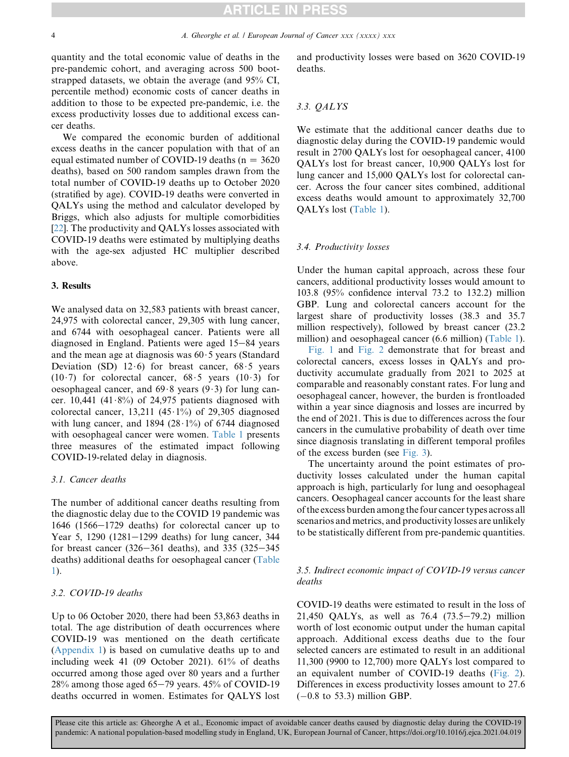quantity and the total economic value of deaths in the pre-pandemic cohort, and averaging across 500 bootstrapped datasets, we obtain the average (and 95% CI, percentile method) economic costs of cancer deaths in addition to those to be expected pre-pandemic, i.e. the excess productivity losses due to additional excess cancer deaths.

We compared the economic burden of additional excess deaths in the cancer population with that of an equal estimated number of COVID-19 deaths ( $n = 3620$ deaths), based on 500 random samples drawn from the total number of COVID-19 deaths up to October 2020 (stratified by age). COVID-19 deaths were converted in QALYs using the method and calculator developed by Briggs, which also adjusts for multiple comorbidities [\[22](#page-8-21)]. The productivity and QALYs losses associated with COVID-19 deaths were estimated by multiplying deaths with the age-sex adjusted HC multiplier described above.

#### 3. Results

We analysed data on 32,583 patients with breast cancer, 24,975 with colorectal cancer, 29,305 with lung cancer, and 6744 with oesophageal cancer. Patients were all diagnosed in England. Patients were aged  $15-84$  years and the mean age at diagnosis was  $60.5$  years (Standard Deviation (SD)  $12 \cdot 6$ ) for breast cancer,  $68 \cdot 5$  years  $(10.7)$  for colorectal cancer,  $68.5$  years  $(10.3)$  for oesophageal cancer, and  $69.8$  years  $(9.3)$  for lung cancer. 10,441 (41 $\cdot$ 8%) of 24,975 patients diagnosed with colorectal cancer, 13,211 (45 $\cdot$ 1%) of 29,305 diagnosed with lung cancer, and 1894 (28 $\cdot$ 1%) of 6744 diagnosed with oesophageal cancer were women. [Table 1](#page-4-0) presents three measures of the estimated impact following COVID-19-related delay in diagnosis.

#### 3.1. Cancer deaths

The number of additional cancer deaths resulting from the diagnostic delay due to the COVID 19 pandemic was  $1646$  ( $1566-1729$  deaths) for colorectal cancer up to Year 5, 1290  $(1281-1299 \text{ deaths})$  for lung cancer, 344 for breast cancer (326–361 deaths), and 335 (325–345 deaths) additional deaths for oesophageal cancer ([Table](#page-4-0) [1\)](#page-4-0).

### 3.2. COVID-19 deaths

Up to 06 October 2020, there had been 53,863 deaths in total. The age distribution of death occurrences where COVID-19 was mentioned on the death certificate (Appendix 1) is based on cumulative deaths up to and including week 41 (09 October 2021). 61% of deaths occurred among those aged over 80 years and a further  $28\%$  among those aged 65–79 years. 45% of COVID-19 deaths occurred in women. Estimates for QALYS lost and productivity losses were based on 3620 COVID-19 deaths.

#### 3.3. QALYS

We estimate that the additional cancer deaths due to diagnostic delay during the COVID-19 pandemic would result in 2700 QALYs lost for oesophageal cancer, 4100 QALYs lost for breast cancer, 10,900 QALYs lost for lung cancer and 15,000 QALYs lost for colorectal cancer. Across the four cancer sites combined, additional excess deaths would amount to approximately 32,700 QALYs lost ([Table 1](#page-4-0)).

#### 3.4. Productivity losses

Under the human capital approach, across these four cancers, additional productivity losses would amount to 103.8 (95% confidence interval 73.2 to 132.2) million GBP. Lung and colorectal cancers account for the largest share of productivity losses (38.3 and 35.7 million respectively), followed by breast cancer (23.2 million) and oesophageal cancer (6.6 million) ([Table 1\)](#page-4-0).

[Fig. 1](#page-4-1) and [Fig. 2](#page-5-0) demonstrate that for breast and colorectal cancers, excess losses in QALYs and productivity accumulate gradually from 2021 to 2025 at comparable and reasonably constant rates. For lung and oesophageal cancer, however, the burden is frontloaded within a year since diagnosis and losses are incurred by the end of 2021. This is due to differences across the four cancers in the cumulative probability of death over time since diagnosis translating in different temporal profiles of the excess burden (see [Fig. 3\)](#page-5-1).

The uncertainty around the point estimates of productivity losses calculated under the human capital approach is high, particularly for lung and oesophageal cancers. Oesophageal cancer accounts for the least share of the excess burden among the four cancer types across all scenarios and metrics, and productivity losses are unlikely to be statistically different from pre-pandemic quantities.

### 3.5. Indirect economic impact of COVID-19 versus cancer deaths

COVID-19 deaths were estimated to result in the loss of 21,450 QALYs, as well as  $76.4$   $(73.5-79.2)$  million worth of lost economic output under the human capital approach. Additional excess deaths due to the four selected cancers are estimated to result in an additional 11,300 (9900 to 12,700) more QALYs lost compared to an equivalent number of COVID-19 deaths ([Fig. 2\)](#page-5-0). Differences in excess productivity losses amount to 27.6  $(-0.8$  to 53.3) million GBP.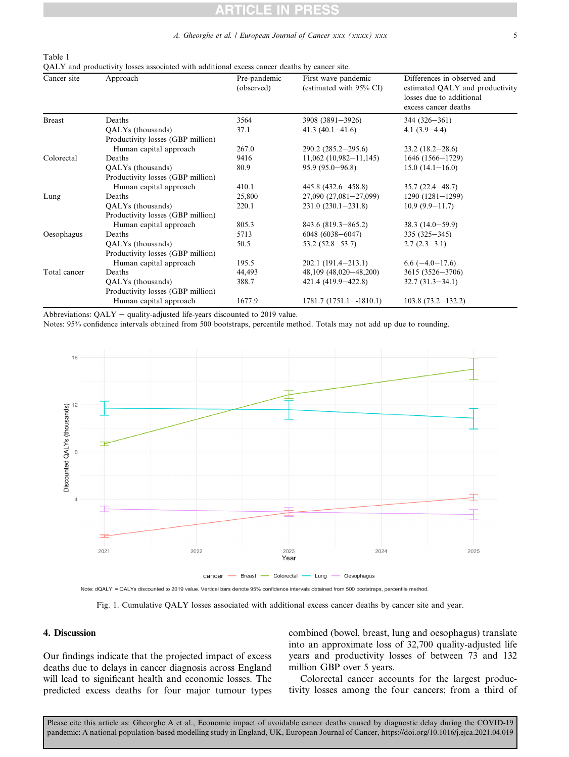#### A. Gheorghe et al. / European Journal of Cancer xxx (xxxx) xxx

<span id="page-4-0"></span>Table 1

QALY and productivity losses associated with additional excess cancer deaths by cancer site.

| Cancer site   | Approach                          | Pre-pandemic<br>(observed) | First wave pandemic<br>(estimated with 95% CI) | Differences in observed and<br>estimated QALY and productivity<br>losses due to additional<br>excess cancer deaths |
|---------------|-----------------------------------|----------------------------|------------------------------------------------|--------------------------------------------------------------------------------------------------------------------|
| <b>Breast</b> | Deaths                            | 3564                       | 3908 (3891-3926)                               | $344(326 - 361)$                                                                                                   |
|               | QALYs (thousands)                 | 37.1                       | $41.3(40.1 - 41.6)$                            | $4.1(3.9-4.4)$                                                                                                     |
|               | Productivity losses (GBP million) |                            |                                                |                                                                                                                    |
|               | Human capital approach            | 267.0                      | $290.2(285.2-295.6)$                           | $23.2(18.2 - 28.6)$                                                                                                |
| Colorectal    | Deaths                            | 9416                       | $11,062$ (10,982-11,145)                       | 1646 (1566-1729)                                                                                                   |
|               | QALYs (thousands)                 | 80.9                       | $95.9(95.0-96.8)$                              | $15.0(14.1 - 16.0)$                                                                                                |
|               | Productivity losses (GBP million) |                            |                                                |                                                                                                                    |
|               | Human capital approach            | 410.1                      | $445.8(432.6 - 458.8)$                         | $35.7(22.4 - 48.7)$                                                                                                |
| Lung          | Deaths                            | 25,800                     | $27,090(27,081-27,099)$                        | $1290(1281-1299)$                                                                                                  |
|               | QALYs (thousands)                 | 220.1                      | $231.0(230.1-231.8)$                           | $10.9(9.9-11.7)$                                                                                                   |
|               | Productivity losses (GBP million) |                            |                                                |                                                                                                                    |
|               | Human capital approach            | 805.3                      | 843.6 (819.3-865.2)                            | $38.3(14.0-59.9)$                                                                                                  |
| Oesophagus    | Deaths                            | 5713                       | $6048(6038 - 6047)$                            | $335(325 - 345)$                                                                                                   |
|               | QALYs (thousands)                 | 50.5                       | $53.2(52.8 - 53.7)$                            | $2.7(2.3-3.1)$                                                                                                     |
|               | Productivity losses (GBP million) |                            |                                                |                                                                                                                    |
|               | Human capital approach            | 195.5                      | $202.1(191.4-213.1)$                           | $6.6(-4.0 - 17.6)$                                                                                                 |
| Total cancer  | Deaths                            | 44,493                     | 48,109 (48,020-48,200)                         | 3615 (3526-3706)                                                                                                   |
|               | QALYs (thousands)                 | 388.7                      | 421.4 (419.9–422.8)                            | $32.7(31.3 - 34.1)$                                                                                                |
|               | Productivity losses (GBP million) |                            |                                                |                                                                                                                    |
|               | Human capital approach            | 1677.9                     | $1781.7(1751.1 - 1810.1)$                      | $103.8(73.2 - 132.2)$                                                                                              |

Abbreviations:  $QALY -$  quality-adjusted life-years discounted to 2019 value.

<span id="page-4-1"></span>Notes: 95% confidence intervals obtained from 500 bootstraps, percentile method. Totals may not add up due to rounding.



Note: dQALY' = QALYs discounted to 2019 value. Vertical bars denote 95% confidence intervals obtained from 500 bootstraps, percentile method.

Fig. 1. Cumulative QALY losses associated with additional excess cancer deaths by cancer site and year.

### 4. Discussion

Our findings indicate that the projected impact of excess deaths due to delays in cancer diagnosis across England will lead to significant health and economic losses. The predicted excess deaths for four major tumour types combined (bowel, breast, lung and oesophagus) translate into an approximate loss of 32,700 quality-adjusted life years and productivity losses of between 73 and 132 million GBP over 5 years.

Colorectal cancer accounts for the largest productivity losses among the four cancers; from a third of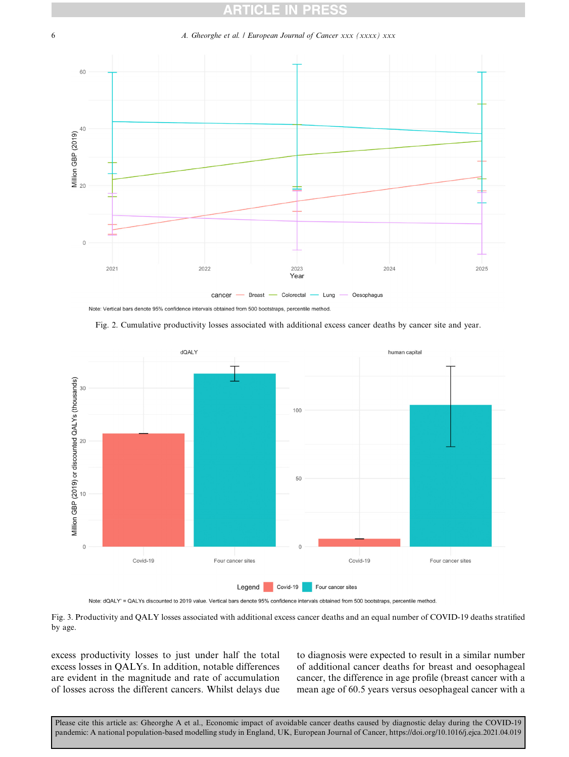#### <span id="page-5-0"></span>6 A. Gheorghe et al. / European Journal of Cancer xxx (xxxx) xxx



Note: Vertical bars denote 95% confidence intervals obtained from 500 bootstraps, percentile method



<span id="page-5-1"></span>

Note: dQALY' = QALYs discounted to 2019 value. Vertical bars denote 95% confidence intervals obtained from 500 bootstraps, percentile method.

Fig. 3. Productivity and QALY losses associated with additional excess cancer deaths and an equal number of COVID-19 deaths stratified by age.

excess productivity losses to just under half the total excess losses in QALYs. In addition, notable differences are evident in the magnitude and rate of accumulation of losses across the different cancers. Whilst delays due to diagnosis were expected to result in a similar number of additional cancer deaths for breast and oesophageal cancer, the difference in age profile (breast cancer with a mean age of 60.5 years versus oesophageal cancer with a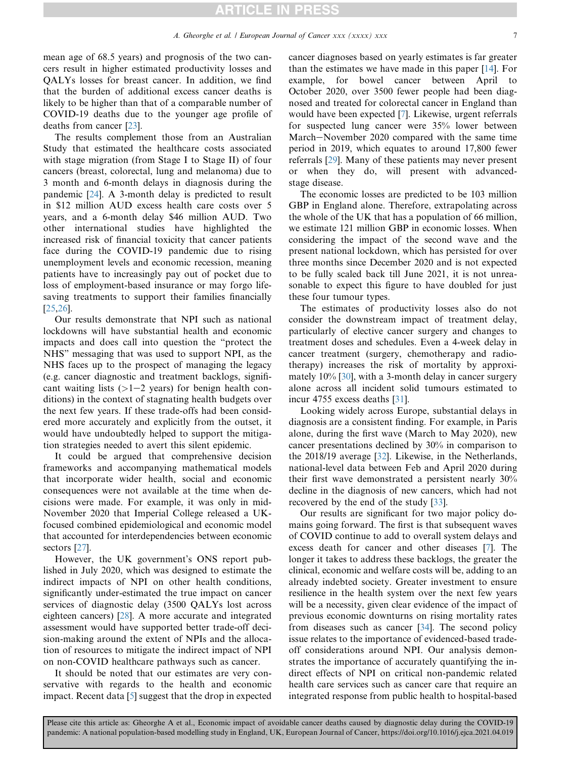mean age of 68.5 years) and prognosis of the two cancers result in higher estimated productivity losses and QALYs losses for breast cancer. In addition, we find that the burden of additional excess cancer deaths is likely to be higher than that of a comparable number of COVID-19 deaths due to the younger age profile of deaths from cancer [[23\]](#page-8-22).

The results complement those from an Australian Study that estimated the healthcare costs associated with stage migration (from Stage I to Stage II) of four cancers (breast, colorectal, lung and melanoma) due to 3 month and 6-month delays in diagnosis during the pandemic [[24\]](#page-8-23). A 3-month delay is predicted to result in \$12 million AUD excess health care costs over 5 years, and a 6-month delay \$46 million AUD. Two other international studies have highlighted the increased risk of financial toxicity that cancer patients face during the COVID-19 pandemic due to rising unemployment levels and economic recession, meaning patients have to increasingly pay out of pocket due to loss of employment-based insurance or may forgo lifesaving treatments to support their families financially [\[25](#page-8-24),[26\]](#page-8-25).

Our results demonstrate that NPI such as national lockdowns will have substantial health and economic impacts and does call into question the "protect the NHS" messaging that was used to support NPI, as the NHS faces up to the prospect of managing the legacy (e.g. cancer diagnostic and treatment backlogs, significant waiting lists  $(>=1-2$  years) for benign health conditions) in the context of stagnating health budgets over the next few years. If these trade-offs had been considered more accurately and explicitly from the outset, it would have undoubtedly helped to support the mitigation strategies needed to avert this silent epidemic.

It could be argued that comprehensive decision frameworks and accompanying mathematical models that incorporate wider health, social and economic consequences were not available at the time when decisions were made. For example, it was only in mid-November 2020 that Imperial College released a UKfocused combined epidemiological and economic model that accounted for interdependencies between economic sectors [[27](#page-8-26)].

However, the UK government's ONS report published in July 2020, which was designed to estimate the indirect impacts of NPI on other health conditions, significantly under-estimated the true impact on cancer services of diagnostic delay (3500 QALYs lost across eighteen cancers) [[28](#page-8-27)]. A more accurate and integrated assessment would have supported better trade-off decision-making around the extent of NPIs and the allocation of resources to mitigate the indirect impact of NPI on non-COVID healthcare pathways such as cancer.

It should be noted that our estimates are very conservative with regards to the health and economic impact. Recent data [[5\]](#page-8-4) suggest that the drop in expected cancer diagnoses based on yearly estimates is far greater than the estimates we have made in this paper [[14\]](#page-8-13). For example, for bowel cancer between April to October 2020, over 3500 fewer people had been diagnosed and treated for colorectal cancer in England than would have been expected [[7\]](#page-8-6). Likewise, urgent referrals for suspected lung cancer were 35% lower between March-November 2020 compared with the same time period in 2019, which equates to around 17,800 fewer referrals [\[29](#page-9-0)]. Many of these patients may never present or when they do, will present with advancedstage disease.

The economic losses are predicted to be 103 million GBP in England alone. Therefore, extrapolating across the whole of the UK that has a population of 66 million, we estimate 121 million GBP in economic losses. When considering the impact of the second wave and the present national lockdown, which has persisted for over three months since December 2020 and is not expected to be fully scaled back till June 2021, it is not unreasonable to expect this figure to have doubled for just these four tumour types.

The estimates of productivity losses also do not consider the downstream impact of treatment delay, particularly of elective cancer surgery and changes to treatment doses and schedules. Even a 4-week delay in cancer treatment (surgery, chemotherapy and radiotherapy) increases the risk of mortality by approximately 10% [\[30](#page-9-1)], with a 3-month delay in cancer surgery alone across all incident solid tumours estimated to incur 4755 excess deaths [[31\]](#page-9-2).

Looking widely across Europe, substantial delays in diagnosis are a consistent finding. For example, in Paris alone, during the first wave (March to May 2020), new cancer presentations declined by 30% in comparison to the 2018/19 average [[32\]](#page-9-3). Likewise, in the Netherlands, national-level data between Feb and April 2020 during their first wave demonstrated a persistent nearly 30% decline in the diagnosis of new cancers, which had not recovered by the end of the study [[33\]](#page-9-4).

Our results are significant for two major policy domains going forward. The first is that subsequent waves of COVID continue to add to overall system delays and excess death for cancer and other diseases [[7\]](#page-8-6). The longer it takes to address these backlogs, the greater the clinical, economic and welfare costs will be, adding to an already indebted society. Greater investment to ensure resilience in the health system over the next few years will be a necessity, given clear evidence of the impact of previous economic downturns on rising mortality rates from diseases such as cancer [[34\]](#page-9-5). The second policy issue relates to the importance of evidenced-based tradeoff considerations around NPI. Our analysis demonstrates the importance of accurately quantifying the indirect effects of NPI on critical non-pandemic related health care services such as cancer care that require an integrated response from public health to hospital-based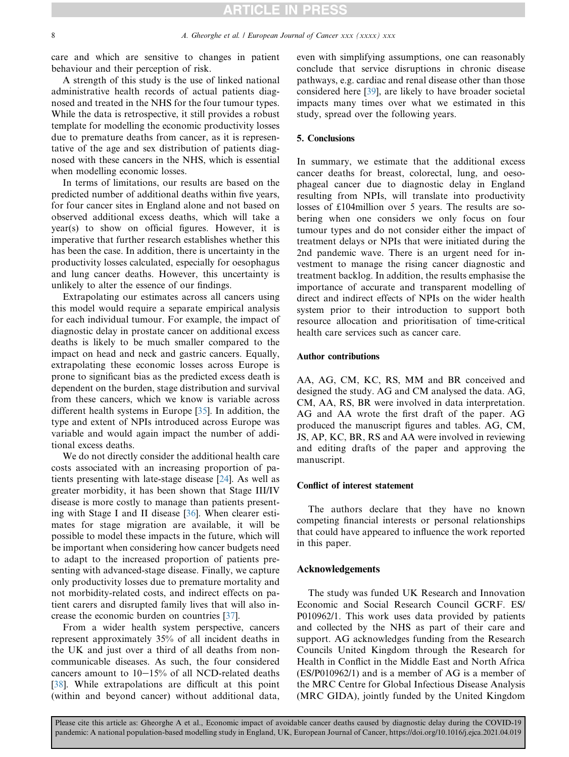care and which are sensitive to changes in patient behaviour and their perception of risk.

A strength of this study is the use of linked national administrative health records of actual patients diagnosed and treated in the NHS for the four tumour types. While the data is retrospective, it still provides a robust template for modelling the economic productivity losses due to premature deaths from cancer, as it is representative of the age and sex distribution of patients diagnosed with these cancers in the NHS, which is essential when modelling economic losses.

In terms of limitations, our results are based on the predicted number of additional deaths within five years, for four cancer sites in England alone and not based on observed additional excess deaths, which will take a year(s) to show on official figures. However, it is imperative that further research establishes whether this has been the case. In addition, there is uncertainty in the productivity losses calculated, especially for oesophagus and lung cancer deaths. However, this uncertainty is unlikely to alter the essence of our findings.

Extrapolating our estimates across all cancers using this model would require a separate empirical analysis for each individual tumour. For example, the impact of diagnostic delay in prostate cancer on additional excess deaths is likely to be much smaller compared to the impact on head and neck and gastric cancers. Equally, extrapolating these economic losses across Europe is prone to significant bias as the predicted excess death is dependent on the burden, stage distribution and survival from these cancers, which we know is variable across different health systems in Europe [\[35\]](#page-9-6). In addition, the type and extent of NPIs introduced across Europe was variable and would again impact the number of additional excess deaths.

We do not directly consider the additional health care costs associated with an increasing proportion of patients presenting with late-stage disease [[24\]](#page-8-23). As well as greater morbidity, it has been shown that Stage III/IV disease is more costly to manage than patients presenting with Stage I and II disease [[36\]](#page-9-7). When clearer estimates for stage migration are available, it will be possible to model these impacts in the future, which will be important when considering how cancer budgets need to adapt to the increased proportion of patients presenting with advanced-stage disease. Finally, we capture only productivity losses due to premature mortality and not morbidity-related costs, and indirect effects on patient carers and disrupted family lives that will also increase the economic burden on countries [\[37](#page-9-8)].

From a wider health system perspective, cancers represent approximately 35% of all incident deaths in the UK and just over a third of all deaths from noncommunicable diseases. As such, the four considered cancers amount to  $10-15%$  of all NCD-related deaths [\[38](#page-9-9)]. While extrapolations are difficult at this point (within and beyond cancer) without additional data, even with simplifying assumptions, one can reasonably conclude that service disruptions in chronic disease pathways, e.g. cardiac and renal disease other than those considered here [[39\]](#page-9-10), are likely to have broader societal impacts many times over what we estimated in this study, spread over the following years.

#### 5. Conclusions

In summary, we estimate that the additional excess cancer deaths for breast, colorectal, lung, and oesophageal cancer due to diagnostic delay in England resulting from NPIs, will translate into productivity losses of £104million over 5 years. The results are sobering when one considers we only focus on four tumour types and do not consider either the impact of treatment delays or NPIs that were initiated during the 2nd pandemic wave. There is an urgent need for investment to manage the rising cancer diagnostic and treatment backlog. In addition, the results emphasise the importance of accurate and transparent modelling of direct and indirect effects of NPIs on the wider health system prior to their introduction to support both resource allocation and prioritisation of time-critical health care services such as cancer care.

#### Author contributions

AA, AG, CM, KC, RS, MM and BR conceived and designed the study. AG and CM analysed the data. AG, CM, AA, RS, BR were involved in data interpretation. AG and AA wrote the first draft of the paper. AG produced the manuscript figures and tables. AG, CM, JS, AP, KC, BR, RS and AA were involved in reviewing and editing drafts of the paper and approving the manuscript.

#### Conflict of interest statement

The authors declare that they have no known competing financial interests or personal relationships that could have appeared to influence the work reported in this paper.

#### Acknowledgements

The study was funded UK Research and Innovation Economic and Social Research Council GCRF. ES/ P010962/1. This work uses data provided by patients and collected by the NHS as part of their care and support. AG acknowledges funding from the Research Councils United Kingdom through the Research for Health in Conflict in the Middle East and North Africa (ES/P010962/1) and is a member of AG is a member of the MRC Centre for Global Infectious Disease Analysis (MRC GIDA), jointly funded by the United Kingdom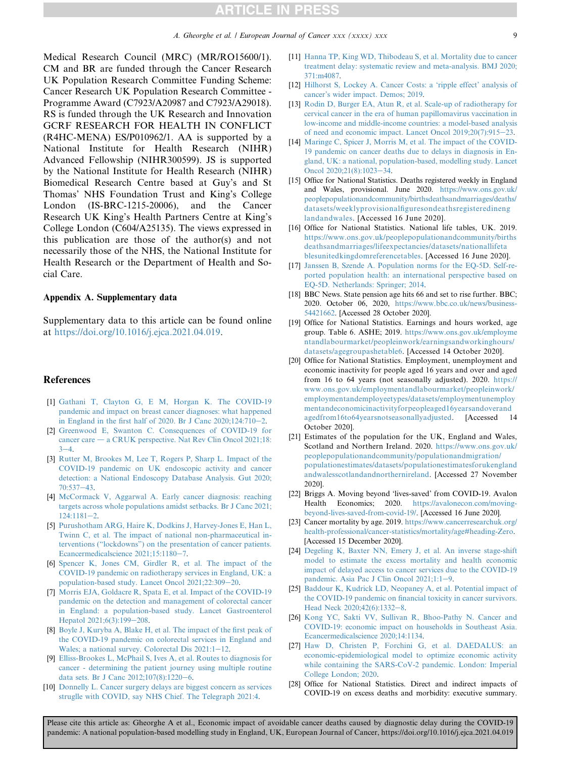Medical Research Council (MRC) (MR/RO15600/1). CM and BR are funded through the Cancer Research UK Population Research Committee Funding Scheme: Cancer Research UK Population Research Committee - Programme Award (C7923/A20987 and C7923/A29018). RS is funded through the UK Research and Innovation GCRF RESEARCH FOR HEALTH IN CONFLICT (R4HC-MENA) ES/P010962/1. AA is supported by a National Institute for Health Research (NIHR) Advanced Fellowship (NIHR300599). JS is supported by the National Institute for Health Research (NIHR) Biomedical Research Centre based at Guy's and St Thomas' NHS Foundation Trust and King's College London (IS-BRC-1215-20006), and the Cancer Research UK King's Health Partners Centre at King's College London (C604/A25135). The views expressed in this publication are those of the author(s) and not necessarily those of the NHS, the National Institute for Health Research or the Department of Health and Social Care.

#### Appendix A. Supplementary data

Supplementary data to this article can be found online at [https://doi.org/10.1016/j.ejca.2021.04.019.](https://doi.org/10.1016/j.ejca.2021.04.019)

#### <span id="page-8-0"></span>References

- <span id="page-8-1"></span>[1] [Gathani T, Clayton G, E M, Horgan K. The COVID-19](http://refhub.elsevier.com/S0959-8049(21)00250-1/sref1) [pandemic and impact on breast cancer diagnoses: what happened](http://refhub.elsevier.com/S0959-8049(21)00250-1/sref1) in England in the first half of 2020. Br J Canc  $2020;124;710-2$ .
- <span id="page-8-2"></span>[2] [Greenwood E, Swanton C. Consequences of COVID-19 for](http://refhub.elsevier.com/S0959-8049(21)00250-1/sref2)  $cancer care - a CRUK perspective.$  $cancer care - a CRUK perspective.$  Nat Rev Clin Oncol 2021;18:  $3 - 4$  $3 - 4$
- <span id="page-8-3"></span>[3] [Rutter M, Brookes M, Lee T, Rogers P, Sharp L. Impact of the](http://refhub.elsevier.com/S0959-8049(21)00250-1/sref3) [COVID-19 pandemic on UK endoscopic activity and cancer](http://refhub.elsevier.com/S0959-8049(21)00250-1/sref3) [detection: a National Endoscopy Database Analysis. Gut 2020;](http://refhub.elsevier.com/S0959-8049(21)00250-1/sref3)  $70:537-43.$  $70:537-43.$  $70:537-43.$
- <span id="page-8-4"></span>[4] [McCormack V, Aggarwal A. Early cancer diagnosis: reaching](http://refhub.elsevier.com/S0959-8049(21)00250-1/sref4) [targets across whole populations amidst setbacks. Br J Canc 2021;](http://refhub.elsevier.com/S0959-8049(21)00250-1/sref4)  $124:1181-2.$  $124:1181-2.$  $124:1181-2.$  $124:1181-2.$
- <span id="page-8-5"></span>[5] [Purushotham ARG, Haire K, Dodkins J, Harvey-Jones E, Han L,](http://refhub.elsevier.com/S0959-8049(21)00250-1/sref5) [Twinn C, et al. The impact of national non-pharmaceutical in](http://refhub.elsevier.com/S0959-8049(21)00250-1/sref5)[terventions \("lockdowns"\) on the presentation of cancer patients.](http://refhub.elsevier.com/S0959-8049(21)00250-1/sref5) [Ecancermedicalscience 2021;15:1180](http://refhub.elsevier.com/S0959-8049(21)00250-1/sref5)-[7](http://refhub.elsevier.com/S0959-8049(21)00250-1/sref5).
- <span id="page-8-6"></span>[6] [Spencer K, Jones CM, Girdler R, et al. The impact of the](http://refhub.elsevier.com/S0959-8049(21)00250-1/sref6) [COVID-19 pandemic on radiotherapy services in England, UK: a](http://refhub.elsevier.com/S0959-8049(21)00250-1/sref6) [population-based study. Lancet Oncol 2021;22:309](http://refhub.elsevier.com/S0959-8049(21)00250-1/sref6)-[20.](http://refhub.elsevier.com/S0959-8049(21)00250-1/sref6)
- <span id="page-8-7"></span>[7] [Morris EJA, Goldacre R, Spata E, et al. Impact of the COVID-19](http://refhub.elsevier.com/S0959-8049(21)00250-1/sref7) [pandemic on the detection and management of colorectal cancer](http://refhub.elsevier.com/S0959-8049(21)00250-1/sref7) [in England: a population-based study. Lancet Gastroenterol](http://refhub.elsevier.com/S0959-8049(21)00250-1/sref7) [Hepatol 2021;6\(3\):199](http://refhub.elsevier.com/S0959-8049(21)00250-1/sref7)-[208](http://refhub.elsevier.com/S0959-8049(21)00250-1/sref7).
- <span id="page-8-8"></span>[8] [Boyle J, Kuryba A, Blake H, et al. The impact of the first peak of](http://refhub.elsevier.com/S0959-8049(21)00250-1/sref8) [the COVID-19 pandemic on colorectal services in England and](http://refhub.elsevier.com/S0959-8049(21)00250-1/sref8) Wales; a national survey. Colorectal Dis  $2021:1-12$  $2021:1-12$ .
- <span id="page-8-9"></span>[9] [Elliss-Brookes L, McPhail S, Ives A, et al. Routes to diagnosis for](http://refhub.elsevier.com/S0959-8049(21)00250-1/sref9) [cancer - determining the patient journey using multiple routine](http://refhub.elsevier.com/S0959-8049(21)00250-1/sref9) [data sets. Br J Canc 2012;107\(8\):1220](http://refhub.elsevier.com/S0959-8049(21)00250-1/sref9)-[6.](http://refhub.elsevier.com/S0959-8049(21)00250-1/sref9)
- [10] [Donnelly L. Cancer surgery delays are biggest concern as services](http://refhub.elsevier.com/S0959-8049(21)00250-1/sref10) [struglle with COVID, say NHS Chief. The Telegraph 2021:4](http://refhub.elsevier.com/S0959-8049(21)00250-1/sref10).
- <span id="page-8-10"></span>[11] [Hanna TP, King WD, Thibodeau S, et al. Mortality due to cancer](http://refhub.elsevier.com/S0959-8049(21)00250-1/sref11) [treatment delay: systematic review and meta-analysis. BMJ 2020;](http://refhub.elsevier.com/S0959-8049(21)00250-1/sref11) [371:m4087](http://refhub.elsevier.com/S0959-8049(21)00250-1/sref11).
- <span id="page-8-11"></span>[12] [Hilhorst S, Lockey A. Cancer Costs: a 'ripple effect' analysis of](http://refhub.elsevier.com/S0959-8049(21)00250-1/sref12) [cancer's wider impact. Demos; 2019](http://refhub.elsevier.com/S0959-8049(21)00250-1/sref12).
- <span id="page-8-12"></span>[13] [Rodin D, Burger EA, Atun R, et al. Scale-up of radiotherapy for](http://refhub.elsevier.com/S0959-8049(21)00250-1/sref13) [cervical cancer in the era of human papillomavirus vaccination in](http://refhub.elsevier.com/S0959-8049(21)00250-1/sref13) [low-income and middle-income countries: a model-based analysis](http://refhub.elsevier.com/S0959-8049(21)00250-1/sref13) of need and economic impact. Lancet Oncol  $2019;20(7):915-23$  $2019;20(7):915-23$ .
- <span id="page-8-13"></span>[14] [Maringe C, Spicer J, Morris M, et al. The impact of the COVID-](http://refhub.elsevier.com/S0959-8049(21)00250-1/sref14)[19 pandemic on cancer deaths due to delays in diagnosis in En](http://refhub.elsevier.com/S0959-8049(21)00250-1/sref14)[gland, UK: a national, population-based, modelling study. Lancet](http://refhub.elsevier.com/S0959-8049(21)00250-1/sref14) [Oncol 2020;21\(8\):1023](http://refhub.elsevier.com/S0959-8049(21)00250-1/sref14)-[34](http://refhub.elsevier.com/S0959-8049(21)00250-1/sref14).
- <span id="page-8-14"></span>[15] Office for National Statistics. Deaths registered weekly in England and Wales, provisional. June 2020. [https://www.ons.gov.uk/](https://www.ons.gov.uk/peoplepopulationandcommunity/birthsdeathsandmarriages/deaths/datasets/weeklyprovisionalfiguresondeathsregisteredinenglandandwales) [peoplepopulationandcommunity/birthsdeathsandmarriages/deaths/](https://www.ons.gov.uk/peoplepopulationandcommunity/birthsdeathsandmarriages/deaths/datasets/weeklyprovisionalfiguresondeathsregisteredinenglandandwales) [datasets/weeklyprovisionalfiguresondeathsregisteredineng](https://www.ons.gov.uk/peoplepopulationandcommunity/birthsdeathsandmarriages/deaths/datasets/weeklyprovisionalfiguresondeathsregisteredinenglandandwales) [landandwales](https://www.ons.gov.uk/peoplepopulationandcommunity/birthsdeathsandmarriages/deaths/datasets/weeklyprovisionalfiguresondeathsregisteredinenglandandwales). [Accessed 16 June 2020].
- <span id="page-8-15"></span>[16] Office for National Statistics. National life tables, UK. 2019. [https://www.ons.gov.uk/peoplepopulationandcommunity/births](https://www.ons.gov.uk/peoplepopulationandcommunity/birthsdeathsandmarriages/lifeexpectancies/datasets/nationallifetablesunitedkingdomreferencetables) [deathsandmarriages/lifeexpectancies/datasets/nationallifeta](https://www.ons.gov.uk/peoplepopulationandcommunity/birthsdeathsandmarriages/lifeexpectancies/datasets/nationallifetablesunitedkingdomreferencetables) [blesunitedkingdomreferencetables.](https://www.ons.gov.uk/peoplepopulationandcommunity/birthsdeathsandmarriages/lifeexpectancies/datasets/nationallifetablesunitedkingdomreferencetables) [Accessed 16 June 2020].
- <span id="page-8-16"></span>[17] [Janssen B, Szende A. Population norms for the EQ-5D. Self-re](http://refhub.elsevier.com/S0959-8049(21)00250-1/sref17)[ported population health: an international perspective based on](http://refhub.elsevier.com/S0959-8049(21)00250-1/sref17) [EQ-5D. Netherlands: Springer; 2014.](http://refhub.elsevier.com/S0959-8049(21)00250-1/sref17)
- <span id="page-8-17"></span>[18] BBC News. State pension age hits 66 and set to rise further. BBC; 2020. October 06, 2020, [https://www.bbc.co.uk/news/business-](https://www.bbc.co.uk/news/business-54421662)[54421662](https://www.bbc.co.uk/news/business-54421662). [Accessed 28 October 2020].
- <span id="page-8-18"></span>[19] Office for National Statistics. Earnings and hours worked, age group. Table 6. ASHE; 2019. [https://www.ons.gov.uk/employme](https://www.ons.gov.uk/employmentandlabourmarket/peopleinwork/earningsandworkinghours/datasets/agegroupashetable6) [ntandlabourmarket/peopleinwork/earningsandworkinghours/](https://www.ons.gov.uk/employmentandlabourmarket/peopleinwork/earningsandworkinghours/datasets/agegroupashetable6) [datasets/agegroupashetable6](https://www.ons.gov.uk/employmentandlabourmarket/peopleinwork/earningsandworkinghours/datasets/agegroupashetable6). [Accessed 14 October 2020].
- <span id="page-8-19"></span>[20] Office for National Statistics. Employment, unemployment and economic inactivity for people aged 16 years and over and aged from 16 to 64 years (not seasonally adjusted). 2020. [https://](https://www.ons.gov.uk/employmentandlabourmarket/peopleinwork/employmentandemployeetypes/datasets/employmentunemploymentandeconomicinactivityforpeopleaged16yearsandoverandagedfrom16to64yearsnotseasonallyadjusted) [www.ons.gov.uk/employmentandlabourmarket/peopleinwork/](https://www.ons.gov.uk/employmentandlabourmarket/peopleinwork/employmentandemployeetypes/datasets/employmentunemploymentandeconomicinactivityforpeopleaged16yearsandoverandagedfrom16to64yearsnotseasonallyadjusted) [employmentandemployeetypes/datasets/employmentunemploy](https://www.ons.gov.uk/employmentandlabourmarket/peopleinwork/employmentandemployeetypes/datasets/employmentunemploymentandeconomicinactivityforpeopleaged16yearsandoverandagedfrom16to64yearsnotseasonallyadjusted) [mentandeconomicinactivityforpeopleaged16yearsandoverand](https://www.ons.gov.uk/employmentandlabourmarket/peopleinwork/employmentandemployeetypes/datasets/employmentunemploymentandeconomicinactivityforpeopleaged16yearsandoverandagedfrom16to64yearsnotseasonallyadjusted) [agedfrom16to64yearsnotseasonallyadjusted](https://www.ons.gov.uk/employmentandlabourmarket/peopleinwork/employmentandemployeetypes/datasets/employmentunemploymentandeconomicinactivityforpeopleaged16yearsandoverandagedfrom16to64yearsnotseasonallyadjusted). [Accessed 14 October 2020].
- <span id="page-8-20"></span>[21] Estimates of the population for the UK, England and Wales, Scotland and Northern Ireland. 2020. [https://www.ons.gov.uk/](https://www.ons.gov.uk/peoplepopulationandcommunity/populationandmigration/populationestimates/datasets/populationestimatesforukenglandandwalesscotlandandnorthernireland) [peoplepopulationandcommunity/populationandmigration/](https://www.ons.gov.uk/peoplepopulationandcommunity/populationandmigration/populationestimates/datasets/populationestimatesforukenglandandwalesscotlandandnorthernireland) [populationestimates/datasets/populationestimatesforukengland](https://www.ons.gov.uk/peoplepopulationandcommunity/populationandmigration/populationestimates/datasets/populationestimatesforukenglandandwalesscotlandandnorthernireland) [andwalesscotlandandnorthernireland.](https://www.ons.gov.uk/peoplepopulationandcommunity/populationandmigration/populationestimates/datasets/populationestimatesforukenglandandwalesscotlandandnorthernireland) [Accessed 27 November 2020].
- <span id="page-8-21"></span>[22] Briggs A. Moving beyond 'lives-saved' from COVID-19. Avalon Health Economics; 2020. [https://avalonecon.com/moving](https://avalonecon.com/moving-beyond-lives-saved-from-covid-19/)[beyond-lives-saved-from-covid-19/.](https://avalonecon.com/moving-beyond-lives-saved-from-covid-19/) [Accessed 16 June 2020].
- <span id="page-8-22"></span>[23] Cancer mortality by age. 2019. [https://www.cancerresearchuk.org/](https://www.cancerresearchuk.org/health-professional/cancer-statistics/mortality/age#heading-Zero) [health-professional/cancer-statistics/mortality/age#heading-Zero](https://www.cancerresearchuk.org/health-professional/cancer-statistics/mortality/age#heading-Zero). [Accessed 15 December 2020].
- <span id="page-8-23"></span>[24] [Degeling K, Baxter NN, Emery J, et al. An inverse stage-shift](http://refhub.elsevier.com/S0959-8049(21)00250-1/sref24) [model to estimate the excess mortality and health economic](http://refhub.elsevier.com/S0959-8049(21)00250-1/sref24) [impact of delayed access to cancer services due to the COVID-19](http://refhub.elsevier.com/S0959-8049(21)00250-1/sref24) [pandemic. Asia Pac J Clin Oncol 2021;1:1](http://refhub.elsevier.com/S0959-8049(21)00250-1/sref24)-[9.](http://refhub.elsevier.com/S0959-8049(21)00250-1/sref24)
- <span id="page-8-24"></span>[25] [Baddour K, Kudrick LD, Neopaney A, et al. Potential impact of](http://refhub.elsevier.com/S0959-8049(21)00250-1/sref25) [the COVID-19 pandemic on financial toxicity in cancer survivors.](http://refhub.elsevier.com/S0959-8049(21)00250-1/sref25) [Head Neck 2020;42\(6\):1332](http://refhub.elsevier.com/S0959-8049(21)00250-1/sref25)-[8](http://refhub.elsevier.com/S0959-8049(21)00250-1/sref25).
- <span id="page-8-25"></span>[26] [Kong YC, Sakti VV, Sullivan R, Bhoo-Pathy N. Cancer and](http://refhub.elsevier.com/S0959-8049(21)00250-1/sref26) [COVID-19: economic impact on households in Southeast Asia.](http://refhub.elsevier.com/S0959-8049(21)00250-1/sref26) [Ecancermedicalscience 2020;14:1134](http://refhub.elsevier.com/S0959-8049(21)00250-1/sref26).
- <span id="page-8-26"></span>[27] [Haw D, Christen P, Forchini G, et al. DAEDALUS: an](http://refhub.elsevier.com/S0959-8049(21)00250-1/sref27) [economic-epidemiological model to optimize economic activity](http://refhub.elsevier.com/S0959-8049(21)00250-1/sref27) [while containing the SARS-CoV-2 pandemic. London: Imperial](http://refhub.elsevier.com/S0959-8049(21)00250-1/sref27) [College London; 2020.](http://refhub.elsevier.com/S0959-8049(21)00250-1/sref27)
- <span id="page-8-27"></span>[28] Office for National Statistics. Direct and indirect impacts of COVID-19 on excess deaths and morbidity: executive summary.